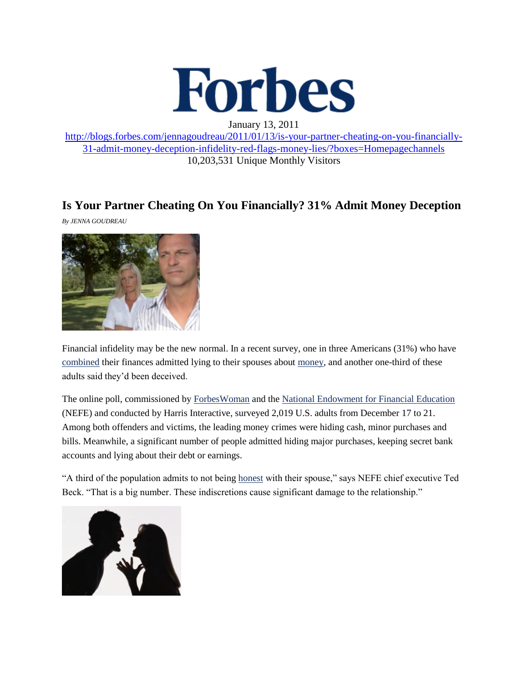

January 13, 2011

[http://blogs.forbes.com/jennagoudreau/2011/01/13/is-your-partner-cheating-on-you-financially-](http://blogs.forbes.com/jennagoudreau/2011/01/13/is-your-partner-cheating-on-you-financially-31-admit-money-deception-infidelity-red-flags-money-lies/?boxes=Homepagechannels)[31-admit-money-deception-infidelity-red-flags-money-lies/?boxes=Homepagechannels](http://blogs.forbes.com/jennagoudreau/2011/01/13/is-your-partner-cheating-on-you-financially-31-admit-money-deception-infidelity-red-flags-money-lies/?boxes=Homepagechannels) 10,203,531 Unique Monthly Visitors

## **Is Your Partner Cheating On You Financially? 31% Admit Money Deception**

*By JENNA GOUDREAU*



Financial infidelity may be the new normal. In a recent survey, one in three Americans (31%) who have [combined](http://blogs.forbes.com/jennagoudreau/2010/11/03/step-by-step-guide-to-financial-unity-money-love-relationships-marriage-spending-budget/) their finances admitted lying to their spouses about [money,](http://blogs.forbes.com/jennagoudreau/2010/11/12/suze-orman-i-dont-care-about-money-oprah-winfrey-cnbc-own/) and another one-third of these adults said they'd been deceived.

The online poll, commissioned by [ForbesWoman](http://www.forbes.com/forbeswoman/) and the [National Endowment for Financial Education](http://www.nefe.org/) (NEFE) and conducted by Harris Interactive, surveyed 2,019 U.S. adults from December 17 to 21. Among both offenders and victims, the leading money crimes were hiding cash, minor purchases and bills. Meanwhile, a significant number of people admitted hiding major purchases, keeping secret bank accounts and lying about their debt or earnings.

"A third of the population admits to not being [honest](http://www.forbes.com/2010/11/04/money-love-relationships-forbes-woman-net-worth-marriage_slide.html) with their spouse," says NEFE chief executive Ted Beck. "That is a big number. These indiscretions cause significant damage to the relationship."

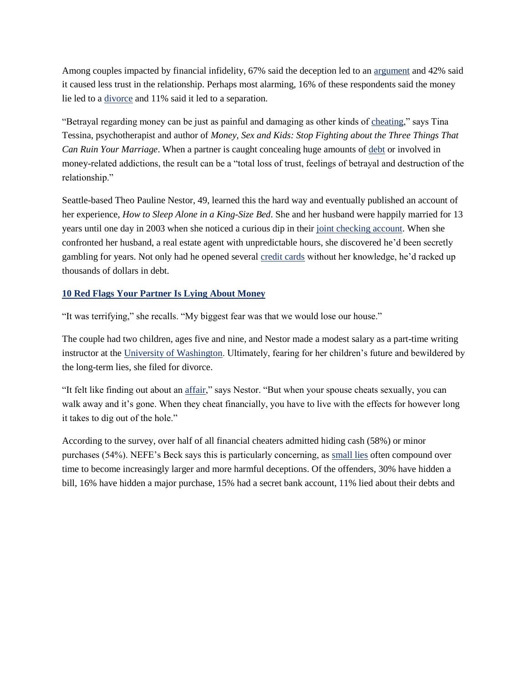Among couples impacted by financial infidelity, 67% said the deception led to an [argument](http://www.forbes.com/2010/03/11/married-couples-money-fights-personal-finance-arguments.html) and 42% said it caused less trust in the relationship. Perhaps most alarming, 16% of these respondents said the money lie led to a [divorce](http://blogs.forbes.com/bruceupbin/2010/09/17/divorce-charts-of-the-billionaires/) and 11% said it led to a separation.

"Betrayal regarding money can be just as painful and damaging as other kinds of [cheating,](http://blogs.forbes.com/maryellenegan/2010/08/16/men-more-likely-to-cheat-on-a-woman-who-earns-more/)" says Tina Tessina, psychotherapist and author of *Money, Sex and Kids: Stop Fighting about the Three Things That Can Ruin Your Marriage*. When a partner is caught concealing huge amounts of [debt](http://blogs.forbes.com/investopedia/2011/01/04/how-much-debt-can-you-handle/) or involved in money-related addictions, the result can be a "total loss of trust, feelings of betrayal and destruction of the relationship."

Seattle-based Theo Pauline Nestor, 49, learned this the hard way and eventually published an account of her experience, *How to Sleep Alone in a King-Size Bed*. She and her husband were happily married for 13 years until one day in 2003 when she noticed a curious dip in their [joint checking account.](http://blogs.forbes.com/investopedia/2011/01/05/5-ways-your-partner-can-ruin-your-credit/) When she confronted her husband, a real estate agent with unpredictable hours, she discovered he'd been secretly gambling for years. Not only had he opened several [credit cards](http://blogs.forbes.com/moneybuilder/2010/11/24/should-you-share-a-credit-card-with-your-significant-other/) without her knowledge, he'd racked up thousands of dollars in debt.

## **[10 Red Flags Your Partner Is Lying About Money](http://www.forbes.com/2011/01/12/cheating-money-financial-infidelity-forbes-woman-net-worth-marriage_slide.html/)**

"It was terrifying," she recalls. "My biggest fear was that we would lose our house."

The couple had two children, ages five and nine, and Nestor made a modest salary as a part-time writing instructor at the [University of Washington.](http://www.forbes.com/lists/2010/94/best-colleges-10_University-of-Washington_950060.html) Ultimately, fearing for her children's future and bewildered by the long-term lies, she filed for divorce.

"It felt like finding out about an [affair,](http://blogs.forbes.com/jennagoudreau/2010/12/28/author-discovers-her-groom-to-be-is-gay-sex-scandal-cheat-men-beard/)" says Nestor. "But when your spouse cheats sexually, you can walk away and it's gone. When they cheat financially, you have to live with the effects for however long it takes to dig out of the hole."

According to the survey, over half of all financial cheaters admitted hiding cash (58%) or minor purchases (54%). NEFE's Beck says this is particularly concerning, as [small lies](http://www.forbes.com/2006/11/02/tech-cx_ee_technology_liar_slide.html) often compound over time to become increasingly larger and more harmful deceptions. Of the offenders, 30% have hidden a bill, 16% have hidden a major purchase, 15% had a secret bank account, 11% lied about their debts and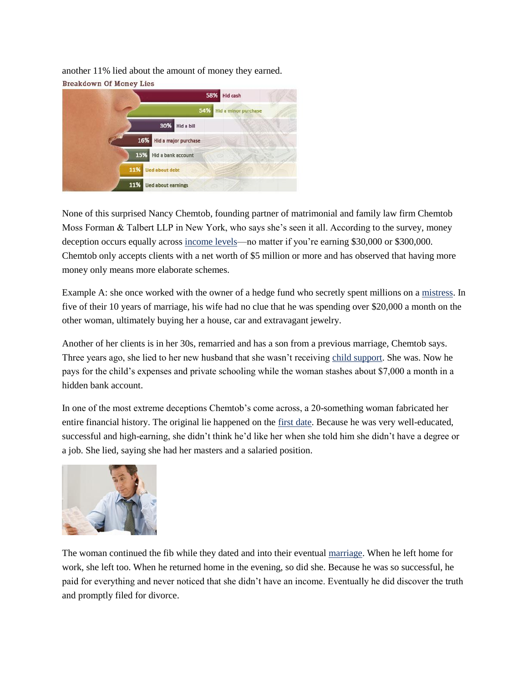another 11% lied about the amount of money they earned. **Breakdown Of Money Lies** 



None of this surprised Nancy Chemtob, founding partner of matrimonial and family law firm Chemtob Moss Forman & Talbert LLP in New York, who says she's seen it all. According to the survey, money deception occurs equally across [income levels—](http://blogs.forbes.com/jennagoudreau/2011/01/07/high-earning-women-want-hot-older-men-sex-dating-love-george-clooney-angelina-jolie-brad-pitt/)no matter if you're earning \$30,000 or \$300,000. Chemtob only accepts clients with a net worth of \$5 million or more and has observed that having more money only means more elaborate schemes.

Example A: she once worked with the owner of a hedge fund who secretly spent millions on a [mistress.](http://blogs.forbes.com/kevinunderhill/2010/09/28/do-not-trust-the-mistress/) In five of their 10 years of marriage, his wife had no clue that he was spending over \$20,000 a month on the other woman, ultimately buying her a house, car and extravagant jewelry.

Another of her clients is in her 30s, remarried and has a son from a previous marriage, Chemtob says. Three years ago, she lied to her new husband that she wasn't receiving [child support.](http://www.forbes.com/2010/07/07/divorce-settlement-alimony-child-support-personal-finance-kotlikoff.html) She was. Now he pays for the child's expenses and private schooling while the woman stashes about \$7,000 a month in a hidden bank account.

In one of the most extreme deceptions Chemtob's come across, a 20-something woman fabricated her entire financial history. The original lie happened on the [first date.](http://www.forbes.com/2010/03/16/marriage-money-finances-debt-forbes-woman-net-worth-dating-etiquette.html) Because he was very well-educated, successful and high-earning, she didn't think he'd like her when she told him she didn't have a degree or a job. She lied, saying she had her masters and a salaried position.



The woman continued the fib while they dated and into their eventual [marriage.](http://blogs.forbes.com/jennagoudreau/2010/11/18/prince-william-kate-middleton-engagement-emblem-of-class-marriage-wedding-ring/) When he left home for work, she left too. When he returned home in the evening, so did she. Because he was so successful, he paid for everything and never noticed that she didn't have an income. Eventually he did discover the truth and promptly filed for divorce.